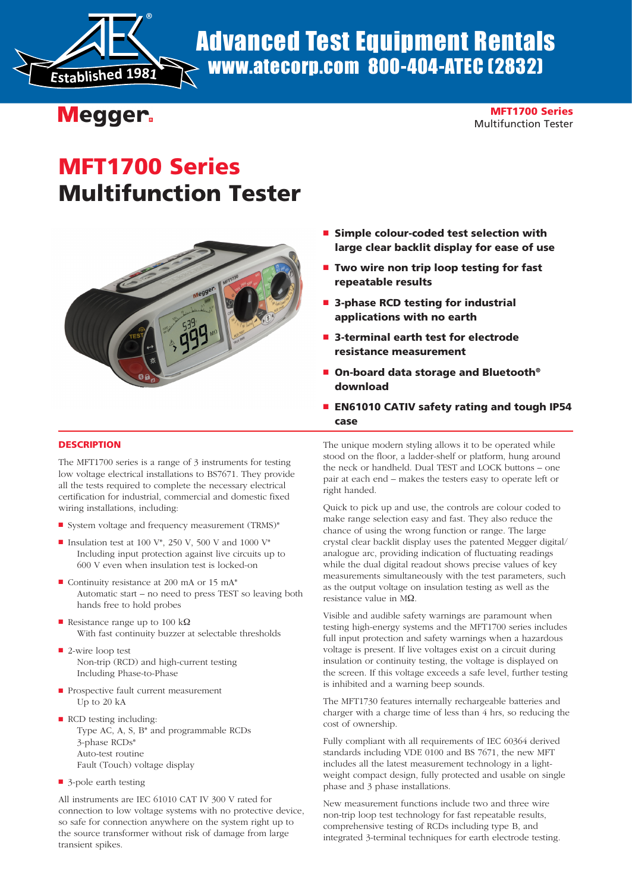

# Advanced Test Equipment Rentals www.atecorp.com 800-404-ATEC (2832)

## **Megger.**

MFT1700 Series Multifunction Tester

# MFT1700 Series Multifunction Tester



- Simple colour-coded test selection with large clear backlit display for ease of use
- Two wire non trip loop testing for fast repeatable results
- 3-phase RCD testing for industrial applications with no earth
- 3-terminal earth test for electrode resistance measurement
- On-board data storage and Bluetooth<sup>®</sup> download
- EN61010 CATIV safety rating and tough IP54 case

### **DESCRIPTION**

The MFT1700 series is a range of 3 instruments for testing low voltage electrical installations to BS7671. They provide all the tests required to complete the necessary electrical certification for industrial, commercial and domestic fixed wiring installations, including:

- System voltage and frequency measurement (TRMS)\*
- **n** Insulation test at 100 V<sup>\*</sup>, 250 V, 500 V and 1000 V<sup>\*</sup> Including input protection against live circuits up to 600 V even when insulation test is locked-on
- $\blacksquare$  Continuity resistance at 200 mA or 15 mA\* Automatic start – no need to press TEST so leaving both hands free to hold probes
- n Resistance range up to 100 kΩ With fast continuity buzzer at selectable thresholds
- $\blacksquare$  2-wire loop test Non-trip (RCD) and high-current testing Including Phase-to-Phase
- **n** Prospective fault current measurement Up to 20 kA
- RCD testing including: Type AC, A, S, B\* and programmable RCDs 3-phase RCDs\* Auto-test routine Fault (Touch) voltage display
- $\blacksquare$  3-pole earth testing

All instruments are IEC 61010 CAT IV 300 V rated for connection to low voltage systems with no protective device, so safe for connection anywhere on the system right up to the source transformer without risk of damage from large transient spikes.

The unique modern styling allows it to be operated while stood on the floor, a ladder-shelf or platform, hung around the neck or handheld. Dual TEST and LOCK buttons – one pair at each end – makes the testers easy to operate left or right handed.

Quick to pick up and use, the controls are colour coded to make range selection easy and fast. They also reduce the chance of using the wrong function or range. The large crystal clear backlit display uses the patented Megger digital/ analogue arc, providing indication of fluctuating readings while the dual digital readout shows precise values of key measurements simultaneously with the test parameters, such as the output voltage on insulation testing as well as the resistance value in MΩ.

Visible and audible safety warnings are paramount when testing high-energy systems and the MFT1700 series includes full input protection and safety warnings when a hazardous voltage is present. If live voltages exist on a circuit during insulation or continuity testing, the voltage is displayed on the screen. If this voltage exceeds a safe level, further testing is inhibited and a warning beep sounds.

The MFT1730 features internally rechargeable batteries and charger with a charge time of less than 4 hrs, so reducing the cost of ownership.

Fully compliant with all requirements of IEC 60364 derived standards including VDE 0100 and BS 7671, the new MFT includes all the latest measurement technology in a lightweight compact design, fully protected and usable on single phase and 3 phase installations.

New measurement functions include two and three wire non-trip loop test technology for fast repeatable results, comprehensive testing of RCDs including type B, and integrated 3-terminal techniques for earth electrode testing.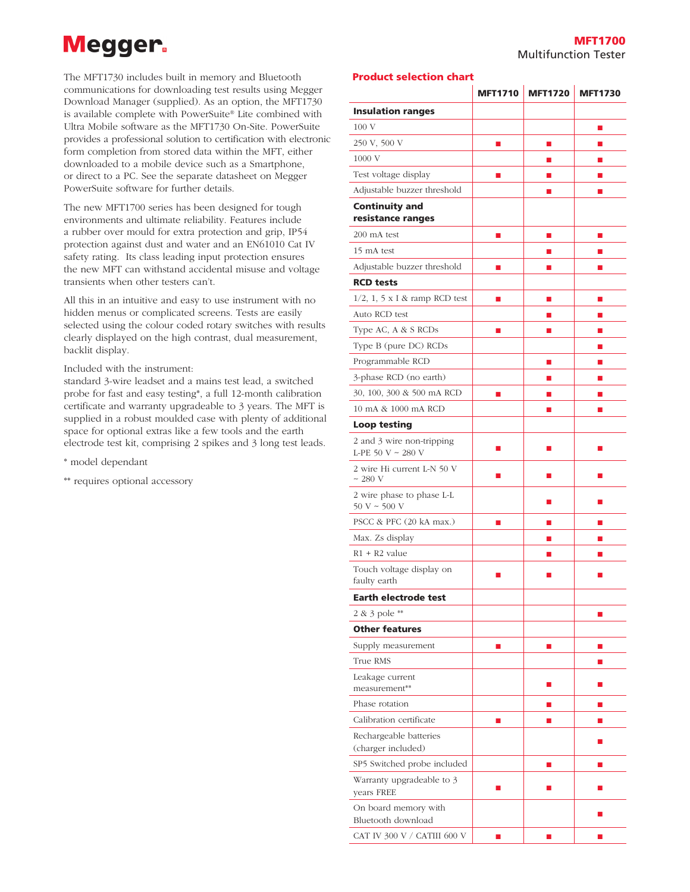# **Megger**

The MFT1730 includes built in memory and Bluetooth communications for downloading test results using Megger Download Manager (supplied). As an option, the MFT1730 is available complete with PowerSuite® Lite combined with Ultra Mobile software as the MFT1730 On-Site. PowerSuite provides a professional solution to certification with electronic form completion from stored data within the MFT, either downloaded to a mobile device such as a Smartphone, or direct to a PC. See the separate datasheet on Megger PowerSuite software for further details.

The new MFT1700 series has been designed for tough environments and ultimate reliability. Features include a rubber over mould for extra protection and grip, IP54 protection against dust and water and an EN61010 Cat IV safety rating. Its class leading input protection ensures the new MFT can withstand accidental misuse and voltage transients when other testers can't.

All this in an intuitive and easy to use instrument with no hidden menus or complicated screens. Tests are easily selected using the colour coded rotary switches with results clearly displayed on the high contrast, dual measurement, backlit display.

#### Included with the instrument:

standard 3-wire leadset and a mains test lead, a switched probe for fast and easy testing\*, a full 12-month calibration certificate and warranty upgradeable to 3 years. The MFT is supplied in a robust moulded case with plenty of additional space for optional extras like a few tools and the earth electrode test kit, comprising 2 spikes and 3 long test leads.

\* model dependant

\*\* requires optional accessory

### Product selection chart

|                                                |   | MFT1710 MFT1720 | <b>MFT1730</b> |
|------------------------------------------------|---|-----------------|----------------|
| <b>Insulation ranges</b>                       |   |                 |                |
| 100V                                           |   |                 | П              |
| 250 V, 500 V                                   | ш | $\blacksquare$  | ш              |
| 1000 V                                         |   | ш               | ш              |
| Test voltage display                           | П | ш               | П              |
| Adjustable buzzer threshold                    |   | П               | ш              |
| <b>Continuity and</b>                          |   |                 |                |
| resistance ranges                              |   |                 |                |
| 200 mA test                                    | П | $\blacksquare$  | П              |
| 15 mA test                                     |   | ш               | ш              |
| Adjustable buzzer threshold                    |   |                 |                |
| <b>RCD tests</b>                               |   |                 |                |
| $1/2$ , $1$ , $5 \times I$ & ramp RCD test     | П | $\blacksquare$  | $\mathbb{R}^n$ |
| Auto RCD test                                  |   | ш               | П              |
| Type AC, A & S RCDs                            |   |                 | П              |
| Type B (pure DC) RCDs                          |   |                 | ш              |
| Programmable RCD                               |   | П               | П              |
| 3-phase RCD (no earth)                         |   | ш               | П              |
| 30, 100, 300 & 500 mA RCD                      | П | $\blacksquare$  | П              |
| 10 mA & 1000 mA RCD                            |   | П               | П              |
| Loop testing                                   |   |                 |                |
| 2 and 3 wire non-tripping<br>L-PE 50 V ~ 280 V | п | П               | П              |
| 2 wire Hi current L-N 50 V<br>$\sim$ 280 V     | П | П               | П              |
| 2 wire phase to phase L-L<br>$50 V \sim 500 V$ |   | П               | ш              |
| PSCC & PFC (20 kA max.)                        |   | ■               | ш              |
| Max. Zs display                                |   | П               | П              |
| $R1 + R2$ value                                |   | ш               | П              |
| Touch voltage display on<br>faulty earth       |   |                 |                |
| <b>Earth electrode test</b>                    |   |                 |                |
| 2 & 3 pole **                                  |   |                 | П              |
| <b>Other features</b>                          |   |                 |                |
| Supply measurement                             | П | П               | П              |
| True RMS                                       |   |                 | ▄              |
| Leakage current<br>measurement**               |   | П               | П              |
| Phase rotation                                 |   | ш               | П              |
| Calibration certificate                        | П | П               | П              |
| Rechargeable batteries<br>(charger included)   |   |                 | П              |
| SP5 Switched probe included                    |   | $\blacksquare$  | П              |
| Warranty upgradeable to 3                      |   | ▄               | ш              |
| years FREE<br>On board memory with             |   |                 |                |
| Bluetooth download                             |   |                 |                |
| CAT IV 300 V / CATIII 600 V                    | П | П               | П              |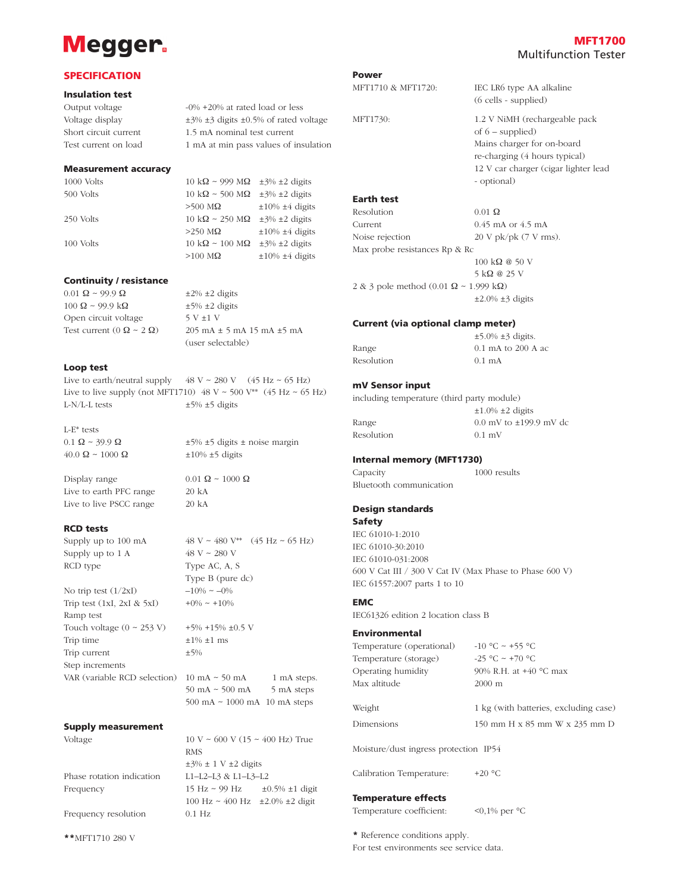## **Megger**

## MFT1700 Multifunction Tester

### **SPECIFICATION**

#### Insulation test

Output voltage  $-0\% +20\%$  at rated load or less Voltage display  $\pm$ 3%  $\pm$ 3 digits  $\pm$ 0.5% of rated voltage Short circuit current 1.5 mA nominal test current Test current on load 1 mA at min pass values of insulation

#### Measurement accuracy

1000 Volts 10 kΩ ~ 999 MΩ  $\pm$ 3%  $\pm$ 2 digits 500 Volts  $10 \text{ k}\Omega \approx 500 \text{ M}\Omega \pm 3\% \pm 2 \text{ digits}$  $>500$  M $\Omega$   $\pm 10\%$   $\pm 4$  digits 250 Volts  $10 \text{ k}\Omega \sim 250 \text{ M}\Omega \pm 3\% \pm 2 \text{ digits}$  $>250$  M $\Omega$   $\pm 10\%$   $\pm 4$  digits 100 Volts 10 k $\Omega \sim 100 \text{ M}\Omega$  ±3% ±2 digits  $>100$  M $\Omega$   $\pm 10\%$   $\pm 4$  digits

#### Continuity / resistance

 $0.01 \Omega \approx 99.9 \Omega$   $\pm 2\% \pm 2 \text{ digits}$  $100 \Omega \sim 99.9 \text{ k}\Omega$   $\pm 5\% \pm 2 \text{ digits}$ Open circuit voltage  $5 V \pm 1 V$ 

Test current  $(0 \Omega \sim 2 \Omega)$  205 mA  $\pm$  5 mA 15 mA  $\pm$ 5 mA (user selectable)

#### Loop test

Live to earth/neutral supply  $48 \text{ V} \approx 280 \text{ V}$   $(45 \text{ Hz} \approx 65 \text{ Hz})$ Live to live supply (not MFT1710)  $48 \text{ V} \sim 500 \text{ V}^{**}$  (45 Hz  $\sim 65 \text{ Hz}$ ) L-N/L-L tests  $\pm$ 5%  $\pm$ 5 digits

L-E\* tests

 $0.1 \Omega \sim 39.9 \Omega$   $\pm 5\% \pm 5 \text{ digits} \pm \text{noise margin}$  $40.0 \Omega \sim 1000 \Omega$   $\pm 10\% \pm 5$  digits

Display range  $0.01 \Omega \approx 1000 \Omega$ Live to earth PFC range 20 kA Live to live PSCC range 20 kA

#### RCD tests

Supply up to  $1 \text{ A}$   $48 \text{ V} \approx 280 \text{ V}$ RCD type  $T$ ype AC, A, S

No trip test  $(1/2xI)$  –10% ~ –0% Trip test (1xI, 2xI & 5xI)  $+0\% \sim +10\%$ Ramp test Touch voltage  $(0 \sim 253 \text{ V}) +5\% +15\% \pm 0.5 \text{ V}$ Trip time  $\pm 1\% \pm 1$  ms Trip current  $\pm 5\%$ Step increments VAR (variable RCD selection)  $10 \text{ mA} \sim 50 \text{ mA}$  1 mA steps.

Supply up to 100 mA  $48 \text{ V} \sim 480 \text{ V}^* \quad (45 \text{ Hz} \sim 65 \text{ Hz})$ Type B (pure dc)

 $\pm 3\% \pm 1$  V  $\pm 2$  digits

 $50 \text{ mA} \sim 500 \text{ mA}$  5 mA steps 500 mA ~ 1000 mA 10 mA steps

100 Hz ~ 400 Hz ±2.0% ±2 digit

#### Supply measurement

RMS

Voltage 10 V ~ 600 V (15 ~ 400 Hz) True

Phase rotation indication L1–L2–L3 & L1–L3–L2 Frequency 15 Hz  $\sim$  99 Hz  $\pm$ 0.5%  $\pm$ 1 digit

Frequency resolution 0.1 Hz

\*\*MFT1710 280 V

Power

MFT1730: 1.2 V NiMH (rechargeable pack of 6 – supplied) Mains charger for on-board re-charging (4 hours typical) 12 V car charger (cigar lighter lead - optional)

(6 cells - supplied)

#### Earth test

Resolution  $0.01 \Omega$ Current 0.45 mA or 4.5 mA Noise rejection 20 V pk/pk (7 V rms). Max probe resistances Rp & Rc 100 kΩ @ 50 V 5 kΩ @ 25 V 2 & 3 pole method (0.01 Ω ~ 1.999 kΩ)  $\pm 2.0\%$   $\pm 3$  digits

MFT1710 & MFT1720: IEC LR6 type AA alkaline

#### Current (via optional clamp meter)

|            | $\pm$ 5.0% $\pm$ 3 digits. |  |  |
|------------|----------------------------|--|--|
| Range      | 0.1 mA to 200 A ac         |  |  |
| Resolution | $0.1 \text{ mA}$           |  |  |

#### mV Sensor input

including temperature (third party module)  $\pm 1.0\%$   $\pm 2$  digits Range  $0.0 \text{ mV}$  to  $\pm 199.9 \text{ mV}$  dc Resolution 0.1 mV

#### Internal memory (MFT1730)

Capacity 1000 results Bluetooth communication

## Design standards

#### Safety

IEC 61010-1:2010 IEC 61010-30:2010 IEC 61010-031:2008 600 V Cat III / 300 V Cat IV (Max Phase to Phase 600 V) IEC 61557:2007 parts 1 to 10

### EMC

IEC61326 edition 2 location class B

#### Environmental

| Temperature (operational) | $-10$ °C ~ +55 °C                     |
|---------------------------|---------------------------------------|
| Temperature (storage)     | $-25$ °C ~ +70 °C                     |
| Operating humidity        | 90% R.H. at $+40$ °C max              |
| Max altitude              | $2000 \text{ m}$                      |
|                           |                                       |
| Weight                    | 1 kg (with batteries, excluding case) |
| Dimensions                | 150 mm H x 85 mm W x 235 mm D         |

Moisture/dust ingress protection IP54

Calibration Temperature: +20 °C

#### Temperature effects

Temperature coefficient: <0,1% per °C

\* Reference conditions apply. For test environments see service data.